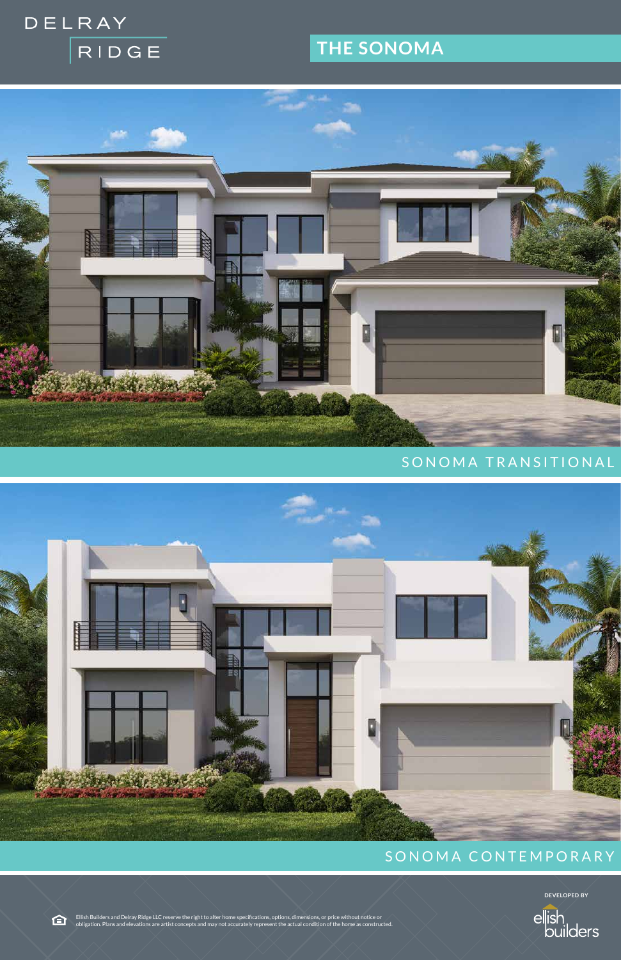# DELRAY RIDGE

## **THE SONOMA**



### SONOMA TRANSITIONAL



### SONOMA CONTEMPORARY

**DEVELOPED BY**



Ellish Builders and Delray Ridge LLC reserve the right to alter home specifications, options, dimensions, or price without notice or obligation. Plans and elevations are artist concepts and may not accurately represent the actual condition of the home as constructed.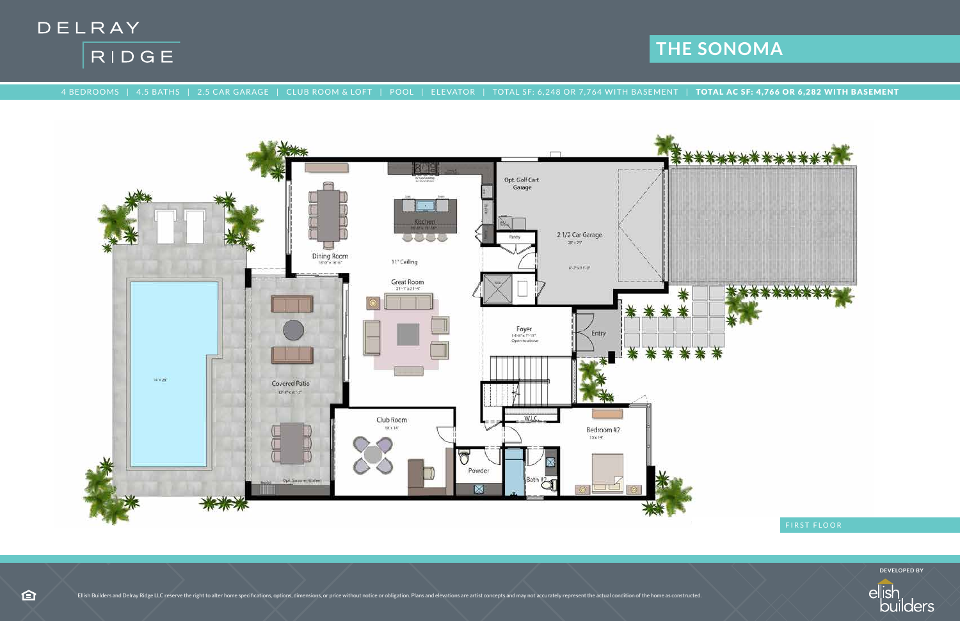



4 BEDROOMS | 4.5 BATHS | 2.5 CAR GARAGE | CLUB ROOM & LOFT | POOL | ELEVATOR | TOTAL SF: 6,248 OR 7,764 WITH BASEMENT | TOTAL AC SF: 4,766 OR 6,282 WITH BASEMENT



# **THE SONOMA**

**DEVELOPED BY**

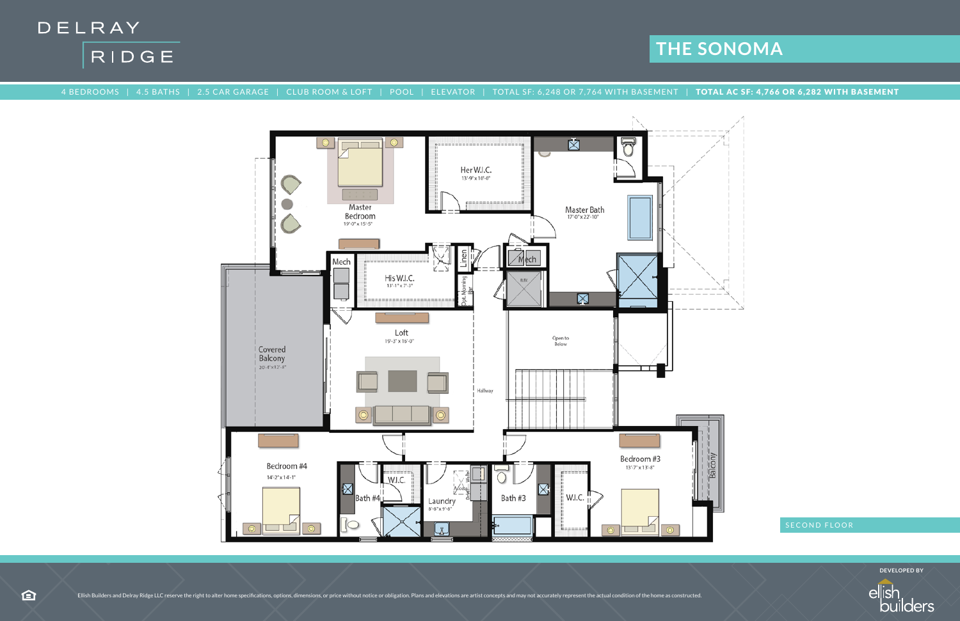

合



### 4 BEDROOMS | 4.5 BATHS | 2.5 CAR GARAGE | CLUB ROOM & LOFT | POOL | ELEVATOR | TOTAL SF: 6,248 OR 7,764 WITH BASEMENT | TOTAL AC SF: 4,766 OR 6,282 WITH BASEMENT



## **THE SONOMA**

**DEVELOPED BY**